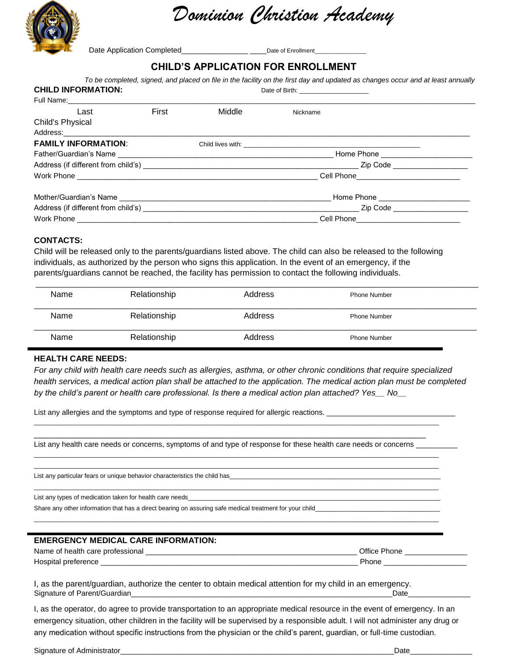

*Dominion Christion Academy* 

Date Application Completed\_\_\_\_\_\_\_\_\_\_\_\_\_\_\_\_\_\_\_\_\_\_\_\_\_\_\_Date of Enrollment

#### **CHILD'S APPLICATION FOR ENROLLMENT**

| To be completed, signed, and placed on file in the facility on the first day and updated as changes occur and at least annually |       |        |                                           |  |
|---------------------------------------------------------------------------------------------------------------------------------|-------|--------|-------------------------------------------|--|
| <b>CHILD INFORMATION:</b>                                                                                                       |       |        | Date of Birth: __________________________ |  |
|                                                                                                                                 |       |        |                                           |  |
| Last                                                                                                                            | First | Middle | Nickname                                  |  |
| Child's Physical                                                                                                                |       |        |                                           |  |
| Address: Address: Address: Address: Address: Address: Address: Address: Address: Address: Address: A                            |       |        |                                           |  |
| <b>FAMILY INFORMATION:</b>                                                                                                      |       |        |                                           |  |
|                                                                                                                                 |       |        |                                           |  |
|                                                                                                                                 |       |        |                                           |  |
|                                                                                                                                 |       |        | Cell Phone__________________________      |  |
|                                                                                                                                 |       |        |                                           |  |
|                                                                                                                                 |       |        |                                           |  |
|                                                                                                                                 |       |        | Cell Phone_____________________________   |  |

#### **CONTACTS:**

Child will be released only to the parents/guardians listed above. The child can also be released to the following individuals, as authorized by the person who signs this application. In the event of an emergency, if the parents/guardians cannot be reached, the facility has permission to contact the following individuals.

| Name | Relationship | Address | <b>Phone Number</b> |  |
|------|--------------|---------|---------------------|--|
| Name | Relationship | Address | <b>Phone Number</b> |  |
|      |              |         |                     |  |
| Name | Relationship | Address | <b>Phone Number</b> |  |

#### **HEALTH CARE NEEDS:**

*For any child with health care needs such as allergies, asthma, or other chronic conditions that require specialized*  health services, a medical action plan shall be attached to the application. The medical action plan must be completed *by the child's parent or health care professional. Is there a medical action plan attached? Yes\_\_ No\_\_*

List any allergies and the symptoms and type of response required for allergic reactions.

\_\_\_\_\_\_\_\_\_\_\_\_\_\_\_\_\_\_\_\_\_\_\_\_\_\_\_\_\_\_\_\_\_\_\_\_\_\_\_\_\_\_\_\_\_\_\_\_\_\_\_\_\_\_\_\_\_\_\_\_\_\_\_\_\_\_\_\_\_\_\_\_\_\_\_\_\_\_\_\_\_\_\_\_\_ List any health care needs or concerns, symptoms of and type of response for these health care needs or concerns  $\Box$ 

\_\_\_\_\_\_\_\_\_\_\_\_\_\_\_\_\_\_\_\_\_\_\_\_\_\_\_\_\_\_\_\_\_\_\_\_\_\_\_\_\_\_\_\_\_\_\_\_\_\_\_\_\_\_\_\_\_\_\_\_\_\_\_\_\_\_\_\_\_\_\_\_\_\_\_\_\_\_\_\_\_\_\_\_\_\_\_\_\_\_\_\_\_\_\_\_\_\_\_\_\_\_\_\_\_\_\_\_\_\_\_\_\_\_\_\_\_

\_\_\_\_\_\_\_\_\_\_\_\_\_\_\_\_\_\_\_\_\_\_\_\_\_\_\_\_\_\_\_\_\_\_\_\_\_\_\_\_\_\_\_\_\_\_\_\_\_\_\_\_\_\_\_\_\_\_\_\_\_\_\_\_\_\_\_\_\_\_\_\_\_\_\_\_\_\_\_\_\_\_\_\_\_\_\_\_\_\_\_\_\_\_\_\_\_\_\_\_\_\_\_\_\_\_\_\_\_\_\_\_\_\_\_\_\_ \_\_\_\_\_\_\_\_\_\_\_\_\_\_\_\_\_\_\_\_\_\_\_\_\_\_\_\_\_\_\_\_\_\_\_\_\_\_\_\_\_\_\_\_\_\_\_\_\_\_\_\_\_\_\_\_\_\_\_\_\_\_\_\_\_\_\_\_\_\_\_\_\_\_\_\_\_\_\_\_\_\_\_\_\_\_\_\_\_\_\_\_\_\_\_\_\_\_\_\_\_\_\_\_\_\_\_\_\_\_\_\_\_\_\_\_\_

\_\_\_\_\_\_\_\_\_\_\_\_\_\_\_\_\_\_\_\_\_\_\_\_\_\_\_\_\_\_\_\_\_\_\_\_\_\_\_\_\_\_\_\_\_\_\_\_\_\_\_\_\_\_\_\_\_\_\_\_\_\_\_\_\_\_\_\_\_\_\_\_\_\_\_\_\_\_\_\_\_\_\_\_\_\_\_\_\_\_\_\_\_\_\_\_\_\_\_\_\_\_\_\_\_\_\_\_\_\_\_\_\_\_\_\_\_

\_\_\_\_\_\_\_\_\_\_\_\_\_\_\_\_\_\_\_\_\_\_\_\_\_\_\_\_\_\_\_\_\_\_\_\_\_\_\_\_\_\_\_\_\_\_\_\_\_\_\_\_\_\_\_\_\_\_\_\_\_\_\_\_\_\_\_\_\_\_\_\_\_\_\_\_\_\_\_\_\_\_\_\_\_\_\_\_\_\_\_\_\_\_\_\_\_\_\_\_\_\_\_\_\_\_\_\_\_\_\_\_\_\_\_\_\_

List any particular fears or unique behavior characteristics the child has

List any types of medication taken for health care needs

Share any other information that has a direct bearing on assuring safe medical treatment for your child

#### **EMERGENCY MEDICAL CARE INFORMATION:**

| Name of                    | Office |
|----------------------------|--------|
| f health care professional | Phone  |
| Hospita<br>preference      | Phone  |

I, as the parent/guardian, authorize the center to obtain medical attention for my child in an emergency. Signature of Parent/Guardian\_\_\_\_\_\_\_\_\_\_\_\_\_\_\_\_\_\_\_\_\_\_\_\_\_\_\_\_\_\_\_\_\_\_\_\_\_\_\_\_\_\_\_\_\_\_\_\_\_\_\_\_\_\_\_\_\_\_\_\_\_\_\_Date\_\_\_\_\_\_\_\_\_\_\_\_\_\_\_

I, as the operator, do agree to provide transportation to an appropriate medical resource in the event of emergency. In an emergency situation, other children in the facility will be supervised by a responsible adult. I will not administer any drug or any medication without specific instructions from the physician or the child's parent, guardian, or full-time custodian.

Signature of Administrator **Exercise 2018** and 2019 and 2019 and 2019 and 2019 and 2019 and 2019 and 2019 and 201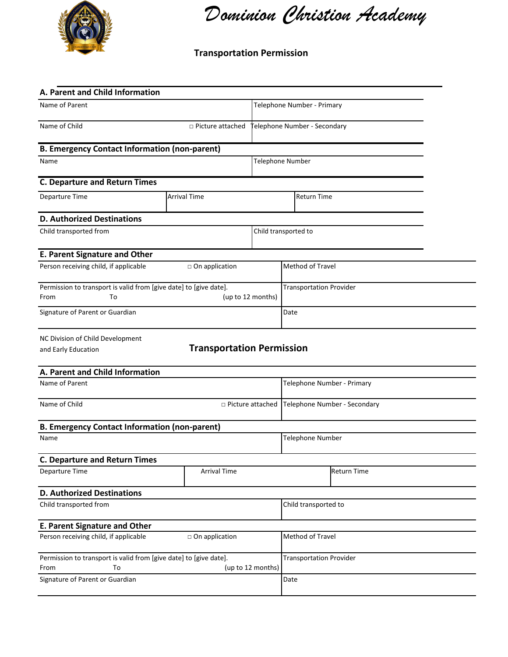

*Dominion Christion Academy* 

## **Transportation Permission**

| A. Parent and Child Information                                                                      |                                  |  |                                |                              |  |
|------------------------------------------------------------------------------------------------------|----------------------------------|--|--------------------------------|------------------------------|--|
| Name of Parent                                                                                       |                                  |  | Telephone Number - Primary     |                              |  |
| Name of Child<br>$\Box$ Picture attached                                                             |                                  |  | elephone Number - Secondary    |                              |  |
| <b>B. Emergency Contact Information (non-parent)</b>                                                 |                                  |  |                                |                              |  |
| Name                                                                                                 |                                  |  | <b>Telephone Number</b>        |                              |  |
| <b>C. Departure and Return Times</b>                                                                 |                                  |  |                                |                              |  |
| Departure Time                                                                                       | <b>Arrival Time</b>              |  | <b>Return Time</b>             |                              |  |
| <b>D. Authorized Destinations</b>                                                                    |                                  |  |                                |                              |  |
| Child transported from                                                                               |                                  |  | Child transported to           |                              |  |
| <b>E. Parent Signature and Other</b>                                                                 |                                  |  |                                |                              |  |
| Person receiving child, if applicable                                                                | $\Box$ On application            |  | Method of Travel               |                              |  |
| Permission to transport is valid from [give date] to [give date].<br>From<br>To                      | (up to 12 months)                |  | <b>Transportation Provider</b> |                              |  |
| Signature of Parent or Guardian                                                                      |                                  |  | Date                           |                              |  |
| NC Division of Child Development<br>and Early Education                                              | <b>Transportation Permission</b> |  |                                |                              |  |
| A. Parent and Child Information                                                                      |                                  |  |                                |                              |  |
| Name of Parent                                                                                       |                                  |  | Telephone Number - Primary     |                              |  |
| Name of Child                                                                                        | □ Picture attached               |  |                                | Telephone Number - Secondary |  |
| <b>B. Emergency Contact Information (non-parent)</b>                                                 |                                  |  |                                |                              |  |
| Name                                                                                                 |                                  |  | Telephone Number               |                              |  |
| <b>C. Departure and Return Times</b>                                                                 |                                  |  |                                |                              |  |
| Departure Time                                                                                       | <b>Arrival Time</b>              |  |                                | <b>Return Time</b>           |  |
| <b>D. Authorized Destinations</b>                                                                    |                                  |  |                                |                              |  |
| Child transported from                                                                               |                                  |  | Child transported to           |                              |  |
| <b>E. Parent Signature and Other</b>                                                                 |                                  |  |                                |                              |  |
| Person receiving child, if applicable                                                                | $\Box$ On application            |  | Method of Travel               |                              |  |
| Permission to transport is valid from [give date] to [give date].<br>(up to 12 months)<br>From<br>To |                                  |  | <b>Transportation Provider</b> |                              |  |
| Signature of Parent or Guardian                                                                      |                                  |  | Date                           |                              |  |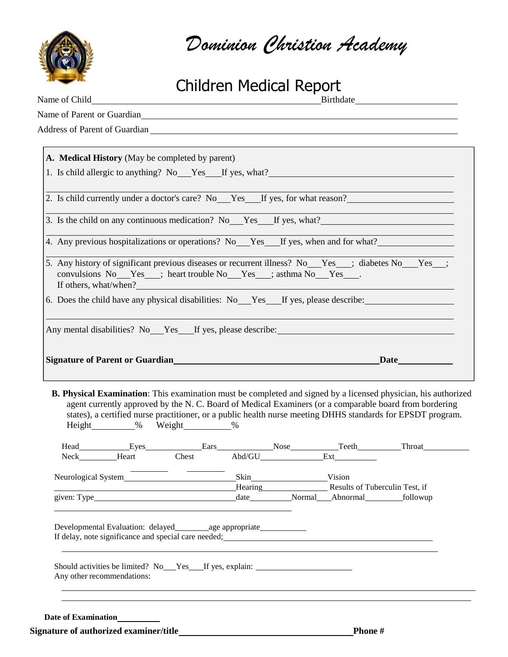

*Dominion Christion Academy* 

# Children Medical Report

| Name of Parent or Guardian<br>Name of Parent or Guardian                                                                                                                                                                                                                                                                                                                                                                 |
|--------------------------------------------------------------------------------------------------------------------------------------------------------------------------------------------------------------------------------------------------------------------------------------------------------------------------------------------------------------------------------------------------------------------------|
|                                                                                                                                                                                                                                                                                                                                                                                                                          |
| Address of Parent of Guardian experience and the contract of the contract of the contract of the contract of the contract of the contract of the contract of the contract of the contract of the contract of the contract of t                                                                                                                                                                                           |
|                                                                                                                                                                                                                                                                                                                                                                                                                          |
| A. Medical History (May be completed by parent)                                                                                                                                                                                                                                                                                                                                                                          |
| 1. Is child allergic to anything? No Yes If yes, what?                                                                                                                                                                                                                                                                                                                                                                   |
| 2. Is child currently under a doctor's care? No Yes If yes, for what reason?                                                                                                                                                                                                                                                                                                                                             |
|                                                                                                                                                                                                                                                                                                                                                                                                                          |
| 3. Is the child on any continuous medication? No Yes If yes, what?                                                                                                                                                                                                                                                                                                                                                       |
| 4. Any previous hospitalizations or operations? No Yes If yes, when and for what?                                                                                                                                                                                                                                                                                                                                        |
| 5. Any history of significant previous diseases or recurrent illness? No Yes ; diabetes No Yes ;<br>convulsions No Yes ; heart trouble No Yes ; asthma No Yes<br>If others, what/when?                                                                                                                                                                                                                                   |
|                                                                                                                                                                                                                                                                                                                                                                                                                          |
| 6. Does the child have any physical disabilities: No Yes If yes, please describe:<br>Any mental disabilities? No Yes If yes, please describe:<br><b>Signature of Parent or Guardian</b><br>Date have been a set of the set of the set of the set of the set of the set of the set of the set of the set of the set of the set of the set of the set of the set of the set of the set of the set of the set of the set of |
| <b>B. Physical Examination:</b> This examination must be completed and signed by a licensed physician, his authorized<br>agent currently approved by the N. C. Board of Medical Examiners (or a comparable board from bordering<br>states), a certified nurse practitioner, or a public health nurse meeting DHHS standards for EPSDT program.                                                                           |
| Height_________% Weight_________%                                                                                                                                                                                                                                                                                                                                                                                        |
|                                                                                                                                                                                                                                                                                                                                                                                                                          |
| Hearing Results of Tuberculin Test, if<br><u> 1989 - Johann Stoff, Amerikaansk politiker (d. 1989)</u>                                                                                                                                                                                                                                                                                                                   |

**Signature of authorized examiner/title Phone #**